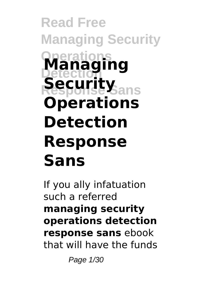# **Read Free Managing Security Operations Detection Response Sans Security Managing Operations Detection Response Sans**

If you ally infatuation such a referred **managing security operations detection response sans** ebook that will have the funds

Page 1/30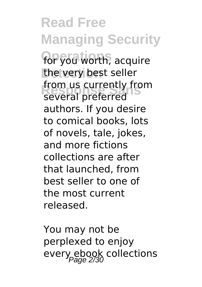**Read Free Managing Security for you worth, acquire** the very best seller **Response Sans** several preferred from us currently from authors. If you desire to comical books, lots of novels, tale, jokes, and more fictions collections are after that launched, from best seller to one of the most current released.

You may not be perplexed to enjoy every ebook collections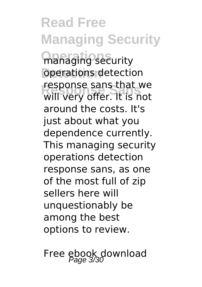**Read Free Managing Security managing security** operations detection **Response Sans** will very offer. It is not response sans that we around the costs. It's just about what you dependence currently. This managing security operations detection response sans, as one of the most full of zip sellers here will unquestionably be among the best options to review.

Free ebook download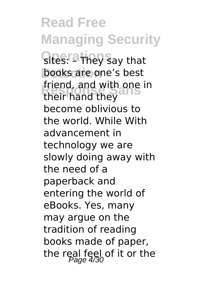**Read Free Managing Security Sites: <sup>a t</sup>hey s**ay that books are one's best friend, and with one in<br>their hand they their hand they become oblivious to the world. While With advancement in technology we are slowly doing away with the need of a paperback and entering the world of eBooks. Yes, many may argue on the tradition of reading books made of paper, the real feel of it or the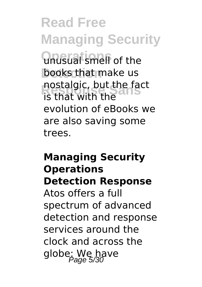**Read Free Managing Security Unusual smell of the** books that make us **Responsi**<br> **Responsi**ng the fact<br> **Responsi**ng the is that with the evolution of eBooks we are also saving some trees.

# **Managing Security Operations Detection Response** Atos offers a full spectrum of advanced detection and response services around the clock and across the globe: We have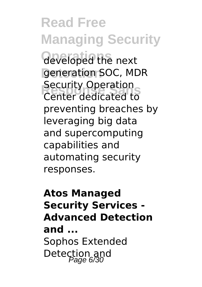**Read Free Managing Security Operations** developed the next generation SOC, MDR **Recurrity Operation** Security Operation preventing breaches by leveraging big data and supercomputing capabilities and automating security responses.

# **Atos Managed Security Services - Advanced Detection and ...** Sophos Extended Detection and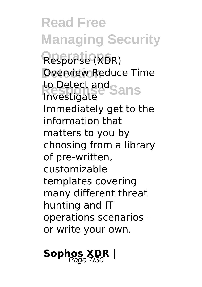**Read Free Managing Security** Response (XDR) **Overview Reduce Time** to Detect and<br>Investigate Sans Investigate Immediately get to the information that matters to you by choosing from a library of pre-written, customizable templates covering many different threat hunting and IT operations scenarios – or write your own.

# Sophos XDR |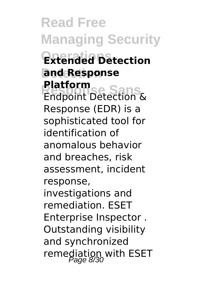**Read Free Managing Security Extended Detection and Response Platform**<br>
Endpoint Detection & **Platform** Response (EDR) is a sophisticated tool for identification of anomalous behavior and breaches, risk assessment, incident response, investigations and remediation. ESET Enterprise Inspector . Outstanding visibility and synchronized remediation with ESET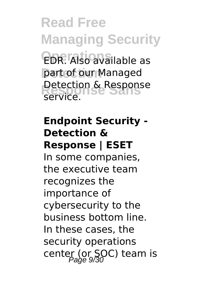**Read Free Managing Security EDR.** Also available as part of our Managed **Detection & Response** service.

# **Endpoint Security - Detection & Response | ESET**

In some companies, the executive team recognizes the importance of cybersecurity to the business bottom line. In these cases, the security operations center (or SOC) team is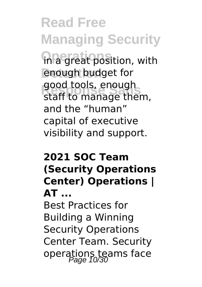**Read Free Managing Security in a great position, with** enough budget for good tools, enough<br>staff to manage them, good tools, enough and the "human" capital of executive visibility and support.

#### **2021 SOC Team (Security Operations Center) Operations | AT ...**

Best Practices for Building a Winning Security Operations Center Team. Security operations teams face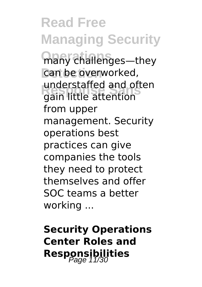**Read Free Managing Security** many challenges—they can be overworked, **Response Sans** gain little attention understaffed and often from upper management. Security operations best practices can give companies the tools they need to protect themselves and offer SOC teams a better working ...

**Security Operations Center Roles and Responsibilities**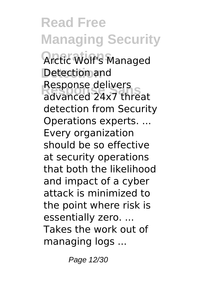**Read Free Managing Security Operations** Arctic Wolf's Managed **Detection** Detection and Response delivers<br>advanced 24x7 threat Response delivers detection from Security Operations experts. ... Every organization should be so effective at security operations that both the likelihood and impact of a cyber attack is minimized to the point where risk is essentially zero. ... Takes the work out of managing logs ...

Page 12/30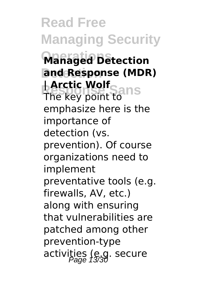**Read Free Managing Security Operations Managed Detection and Response (MDR) | Arctic Wolf**<br>The key noint to US The key point to emphasize here is the importance of detection (vs. prevention). Of course organizations need to implement preventative tools (e.g. firewalls, AV, etc.) along with ensuring that vulnerabilities are patched among other prevention-type activities (e.g. secure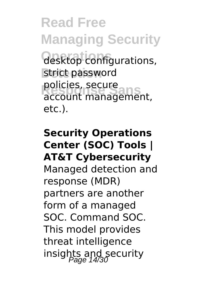**Read Free Managing Security Operations** desktop configurations, strict password policies, secure<br>account management, policies, secure etc.).

## **Security Operations Center (SOC) Tools | AT&T Cybersecurity** Managed detection and response (MDR) partners are another form of a managed SOC. Command SOC. This model provides threat intelligence insights and security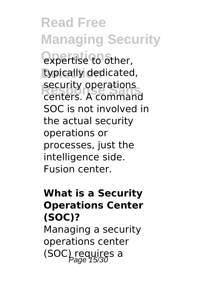**Read Free Managing Security Operations** expertise to other, typically dedicated, **Security operations**<br>Centers A command centers. A command SOC is not involved in the actual security operations or processes, just the intelligence side. Fusion center.

#### **What is a Security Operations Center (SOC)?**

Managing a security operations center  $(SOC)$  requires a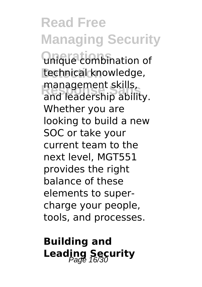**Read Free Managing Security Unique combination of** technical knowledge, **Response Sans** and leadership ability. management skills, Whether you are looking to build a new SOC or take your current team to the next level, MGT551 provides the right balance of these elements to supercharge your people, tools, and processes.

**Building and Leading Security**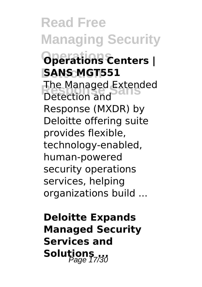**Read Free Managing Security Operations Operations Centers | SANS MGT551 The Managed Extended**<br>Detection and Detection and Response (MXDR) by Deloitte offering suite provides flexible, technology-enabled, human-powered security operations services, helping organizations build ...

**Deloitte Expands Managed Security Services and** Solutions<sub>7730</sub>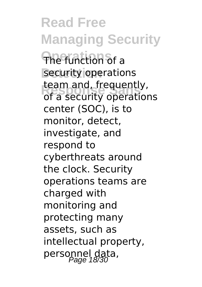**Read Free Managing Security Operations** The function of a security operations team and, irequently,<br>of a security operations team and, frequently, center (SOC), is to monitor, detect, investigate, and respond to cyberthreats around the clock. Security operations teams are charged with monitoring and protecting many assets, such as intellectual property, personnel data,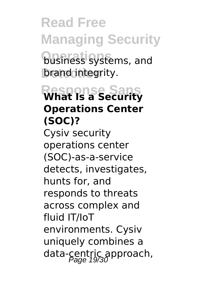**Read Free Managing Security business systems, and brand integrity.** 

# **Response Sans What Is a Security Operations Center (SOC)?**

Cysiv security operations center (SOC)-as-a-service detects, investigates, hunts for, and responds to threats across complex and fluid IT/IoT environments. Cysiv uniquely combines a data-centric approach,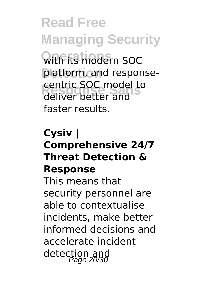**Read Free Managing Security**

**Operations** with its modern SOC platform, and response-**Responsive Centric SOC model to** deliver better and faster results.

#### **Cysiv | Comprehensive 24/7 Threat Detection & Response**

This means that security personnel are able to contextualise incidents, make better informed decisions and accelerate incident detection and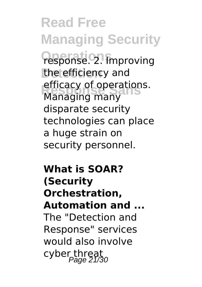**Read Free Managing Security Operations** response. 2. Improving the efficiency and *<u>A</u>* efficacy of operations. Managing many disparate security technologies can place a huge strain on security personnel.

**What is SOAR? (Security Orchestration, Automation and ...** The "Detection and Response" services would also involve cyber threat<br>Page 21/30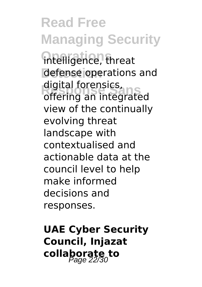**Read Free Managing Security intelligence**, threat defense operations and **Response Sans** offering an integrated digital forensics, view of the continually evolving threat landscape with contextualised and actionable data at the council level to help make informed decisions and responses.

**UAE Cyber Security Council, Injazat collaborate to** Page 22/30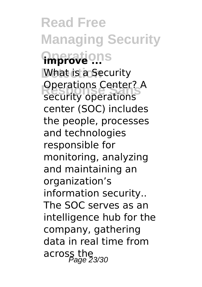**Read Free Managing Security Operations improve ... What is a Security Security operations** Operations Center? A center (SOC) includes the people, processes and technologies responsible for monitoring, analyzing and maintaining an organization's information security.. The SOC serves as an intelligence hub for the company, gathering data in real time from across the 23/30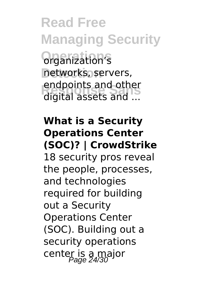**Read Free Managing Security Operations** organization's networks, servers, **Response Sans** digital assets and ... endpoints and other

## **What is a Security Operations Center (SOC)? | CrowdStrike**

18 security pros reveal the people, processes, and technologies required for building out a Security Operations Center (SOC). Building out a security operations center is a major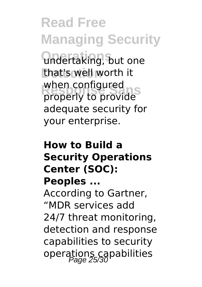**Read Free Managing Security Operations** undertaking, but one that's well worth it when configured<br>properly to provide when configured adequate security for your enterprise.

#### **How to Build a Security Operations Center (SOC): Peoples ...**

According to Gartner, "MDR services add 24/7 threat monitoring, detection and response capabilities to security operations capabilities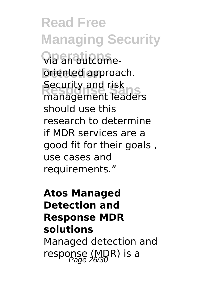**Read Free Managing Security Operations** via an outcome-**Driented approach. Recurrity and risk**<br>management leaders Security and risk should use this research to determine if MDR services are a good fit for their goals , use cases and requirements."

# **Atos Managed Detection and Response MDR solutions** Managed detection and response (MDR) is a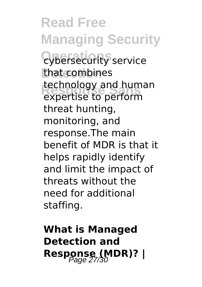**Read Free Managing Security Cybersecurity service** that combines **Rechnology and human**<br>expertise to perform expertise to perform threat hunting, monitoring, and response.The main benefit of MDR is that it helps rapidly identify and limit the impact of threats without the need for additional staffing.

**What is Managed Detection and Response (MDR)?** |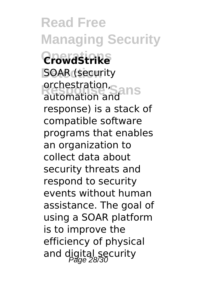**Read Free Managing Security Operations CrowdStrike SOAR** (security **orchestration, ans** automation and response) is a stack of compatible software programs that enables an organization to collect data about security threats and respond to security events without human assistance. The goal of using a SOAR platform is to improve the efficiency of physical and digital security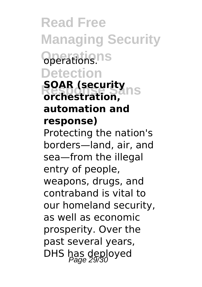**Read Free Managing Security Operations** operations. **Detection**

#### **SOAR (security**<br> *<u>Archastration</u>* **orchestration, automation and response)**

Protecting the nation's borders—land, air, and sea—from the illegal entry of people, weapons, drugs, and contraband is vital to our homeland security, as well as economic prosperity. Over the past several years, DHS has deployed